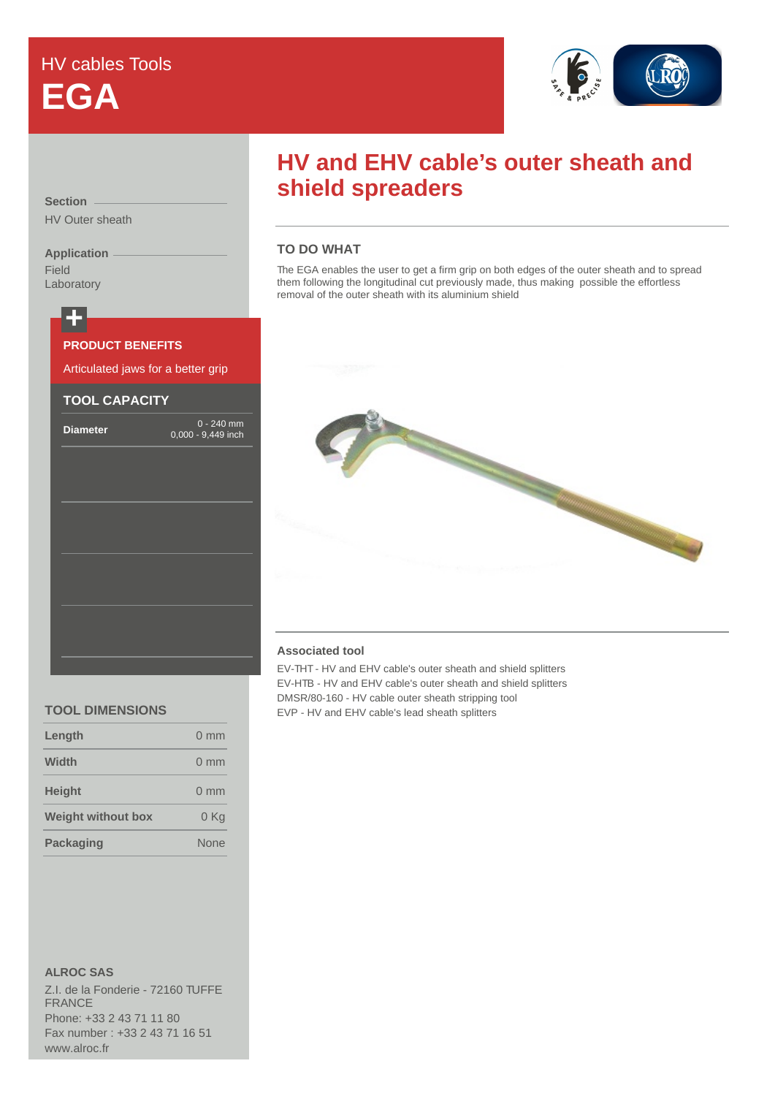# HV cables Tools **EGA**



**Section** HV Outer sheath

#### **Application** Field

Laboratory

**+**

| <b>PRODUCT BENEFITS</b><br>Articulated jaws for a better grip |  |  |  |  |  |  |
|---------------------------------------------------------------|--|--|--|--|--|--|
| <b>TOOL CAPACITY</b>                                          |  |  |  |  |  |  |
| $0 - 240$ mm<br>0,000 - 9,449 inch                            |  |  |  |  |  |  |
|                                                               |  |  |  |  |  |  |
|                                                               |  |  |  |  |  |  |
|                                                               |  |  |  |  |  |  |
|                                                               |  |  |  |  |  |  |
|                                                               |  |  |  |  |  |  |
|                                                               |  |  |  |  |  |  |
|                                                               |  |  |  |  |  |  |
|                                                               |  |  |  |  |  |  |

## **HV and EHV cable's outer sheath and shield spreaders**

## **TO DO WHAT**

The EGA enables the user to get a firm grip on both edges of the outer sheath and to spread them following the longitudinal cut previously made, thus making possible the effortless removal of the outer sheath with its aluminium shield



#### **Associated tool**

EV-THT - HV and EHV cable's outer sheath and shield splitters EV-HTB - HV and EHV cable's outer sheath and shield splitters DMSR/80-160 - HV cable outer sheath stripping tool EVP - HV and EHV cable's lead sheath splitters

### **TOOL DIMENSIONS**

| Length                    | $0 \text{ mm}$ |
|---------------------------|----------------|
| Width                     | $0 \text{ mm}$ |
| <b>Height</b>             | $0 \text{ mm}$ |
| <b>Weight without box</b> | 0 Kg           |
| <b>Packaging</b>          | None           |

**ALROC SAS**

Z.I. de la Fonderie - 72160 TUFFE FRANCE Phone: +33 2 43 71 11 80 Fax number : +33 2 43 71 16 51 www.alroc.fr